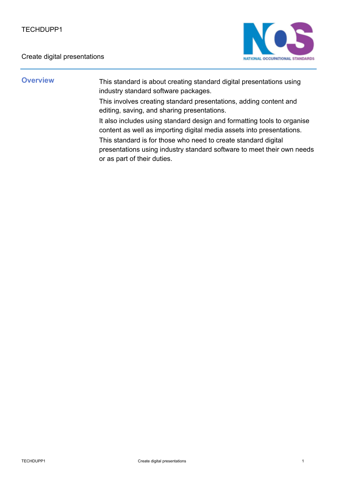## Create digital presentations



**Overview** This standard is about creating standard digital presentations using industry standard software packages.

> This involves creating standard presentations, adding content and editing, saving, and sharing presentations.

It also includes using standard design and formatting tools to organise content as well as importing digital media assets into presentations.

This standard is for those who need to create standard digital presentations using industry standard software to meet their own needs or as part of their duties.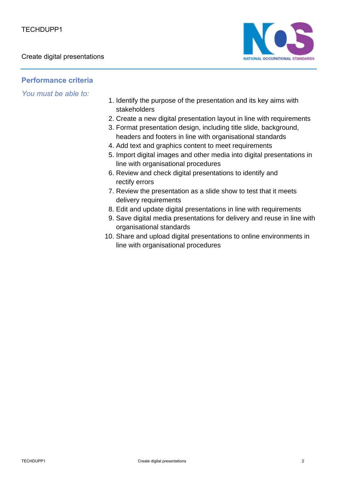

## **Performance criteria**

*You must be able to:*

- 1. Identify the purpose of the presentation and its key aims with stakeholders
- 2. Create a new digital presentation layout in line with requirements
- 3. Format presentation design, including title slide, background, headers and footers in line with organisational standards
- 4. Add text and graphics content to meet requirements
- 5. Import digital images and other media into digital presentations in line with organisational procedures
- 6. Review and check digital presentations to identify and rectify errors
- 7. Review the presentation as a slide show to test that it meets delivery requirements
- 8. Edit and update digital presentations in line with requirements
- 9. Save digital media presentations for delivery and reuse in line with organisational standards
- 10. Share and upload digital presentations to online environments in line with organisational procedures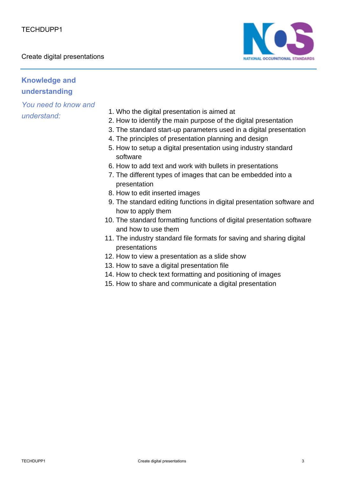Create digital presentations



## **Knowledge and understanding**

*You need to know and*

- *understand:* 1. Who the digital presentation is aimed at
	- 2. How to identify the main purpose of the digital presentation
	- 3. The standard start-up parameters used in a digital presentation
	- 4. The principles of presentation planning and design
	- 5. How to setup a digital presentation using industry standard software
	- 6. How to add text and work with bullets in presentations
	- 7. The different types of images that can be embedded into a presentation
	- 8. How to edit inserted images
	- 9. The standard editing functions in digital presentation software and how to apply them
	- 10. The standard formatting functions of digital presentation software and how to use them
	- 11. The industry standard file formats for saving and sharing digital presentations
	- 12. How to view a presentation as a slide show
	- 13. How to save a digital presentation file
	- 14. How to check text formatting and positioning of images
	- 15. How to share and communicate a digital presentation